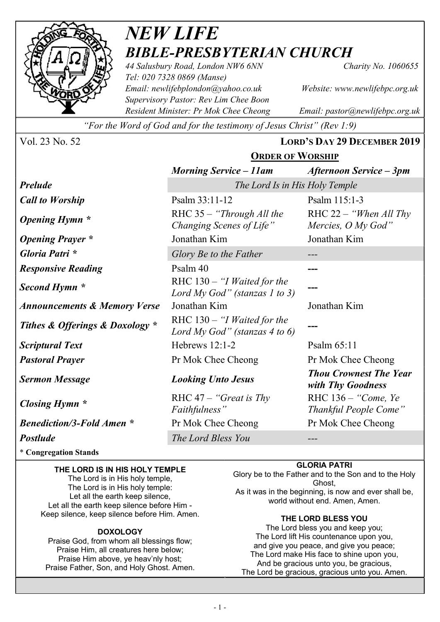

# NEW LIFE BIBLE-PRESBYTERIAN CHURCH

44 Salusbury Road, London NW6 6NN Charity No. 1060655 Tel: 020 7328 0869 (Manse) Email: newlifebplondon@yahoo.co.uk Website: www.newlifebpc.org.uk Supervisory Pastor: Rev Lim Chee Boon Resident Minister: Pr Mok Chee Cheong Email: pastor@newlifebpc.org.uk

"For the Word of God and for the testimony of Jesus Christ" (Rev 1:9)

Vol. 23 No. 52 LORD'S DAY 29 DECEMBER 2019 ORDER OF WORSHIP

|                                         | 5.0001                                                                          |                                                 |  |
|-----------------------------------------|---------------------------------------------------------------------------------|-------------------------------------------------|--|
|                                         | <b>Morning Service – 11am</b>                                                   | Afternoon Service – 3pm                         |  |
| <b>Prelude</b>                          | The Lord Is in His Holy Temple                                                  |                                                 |  |
| <b>Call to Worship</b>                  | Psalm 33:11-12                                                                  | Psalm 115:1-3                                   |  |
| <b>Opening Hymn</b> *                   | $RHC 35 - "Through All the"$<br>Changing Scenes of Life"                        | RHC $22 -$ "When All Thy"<br>Mercies, O My God" |  |
| <b>Opening Prayer</b> *                 | Jonathan Kim                                                                    | Jonathan Kim                                    |  |
| Gloria Patri *                          | Glory Be to the Father                                                          |                                                 |  |
| <b>Responsive Reading</b>               | Psalm 40                                                                        |                                                 |  |
| Second Hymn *                           | RHC $130 - "I$ <i>Waited for the</i><br>Lord My God" (stanzas 1 to 3)           |                                                 |  |
| <b>Announcements &amp; Memory Verse</b> | Jonathan Kim                                                                    | Jonathan Kim                                    |  |
| Tithes & Offerings & Doxology *         | RHC $130 - 'I$ <i>Waited for the</i><br>Lord My God" (stanzas 4 to 6)           |                                                 |  |
| <b>Scriptural Text</b>                  | Hebrews $12:1-2$                                                                | Psalm 65:11                                     |  |
| <b>Pastoral Prayer</b>                  | Pr Mok Chee Cheong                                                              | Pr Mok Chee Cheong                              |  |
| <b>Sermon Message</b>                   | <b>Thou Crownest The Year</b><br><b>Looking Unto Jesus</b><br>with Thy Goodness |                                                 |  |
| Closing Hymn *                          | RHC $47 -$ "Great is Thy"<br>Faithfulness"                                      | RHC 136 – "Come, Ye<br>Thankful People Come"    |  |
| <b>Benediction/3-Fold Amen *</b>        | Pr Mok Chee Cheong                                                              | Pr Mok Chee Cheong                              |  |
| <b>Postlude</b>                         | The Lord Bless You                                                              |                                                 |  |

\* Congregation Stands

## THE LORD IS IN HIS HOLY TEMPLE

The Lord is in His holy temple, The Lord is in His holy temple: Let all the earth keep silence, Let all the earth keep silence before Him - Keep silence, keep silence before Him. Amen.

## **DOXOLOGY**

Praise God, from whom all blessings flow; Praise Him, all creatures here below; Praise Him above, ye heav'nly host; Praise Father, Son, and Holy Ghost. Amen. GLORIA PATRI

Glory be to the Father and to the Son and to the Holy Ghost, As it was in the beginning, is now and ever shall be, world without end. Amen, Amen.

## THE LORD BLESS YOU

The Lord bless you and keep you; The Lord lift His countenance upon you, and give you peace, and give you peace; The Lord make His face to shine upon you, And be gracious unto you, be gracious, The Lord be gracious, gracious unto you. Amen.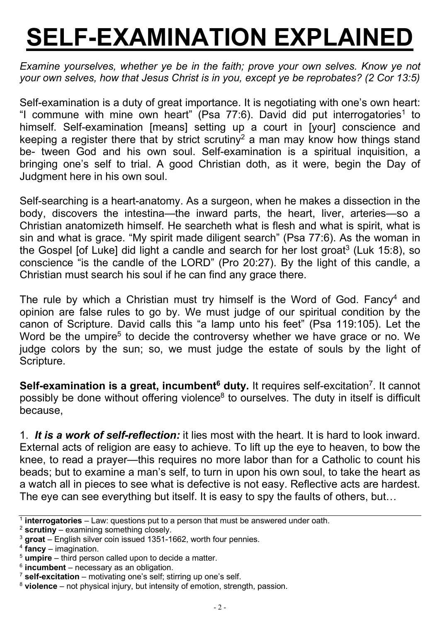# SELF-EXAMINATION EXPLAINED

Examine yourselves, whether ye be in the faith; prove your own selves. Know ye not your own selves, how that Jesus Christ is in you, except ye be reprobates? (2 Cor 13:5)

Self-examination is a duty of great importance. It is negotiating with one's own heart: "I commune with mine own heart" (Psa 77:6). David did put interrogatories<sup>1</sup> to himself. Self-examination [means] setting up a court in [your] conscience and keeping a register there that by strict scrutiny<sup>2</sup> a man may know how things stand be- tween God and his own soul. Self-examination is a spiritual inquisition, a bringing one's self to trial. A good Christian doth, as it were, begin the Day of Judgment here in his own soul.

Self-searching is a heart-anatomy. As a surgeon, when he makes a dissection in the body, discovers the intestina—the inward parts, the heart, liver, arteries—so a Christian anatomizeth himself. He searcheth what is flesh and what is spirit, what is sin and what is grace. "My spirit made diligent search" (Psa 77:6). As the woman in the Gospel [of Luke] did light a candle and search for her lost groat<sup>3</sup> (Luk 15:8), so conscience "is the candle of the LORD" (Pro 20:27). By the light of this candle, a Christian must search his soul if he can find any grace there.

The rule by which a Christian must try himself is the Word of God. Fancy<sup>4</sup> and opinion are false rules to go by. We must judge of our spiritual condition by the canon of Scripture. David calls this "a lamp unto his feet" (Psa 119:105). Let the Word be the umpire<sup>5</sup> to decide the controversy whether we have grace or no. We judge colors by the sun; so, we must judge the estate of souls by the light of Scripture.

Self-examination is a great, incumbent<sup>6</sup> duty. It requires self-excitation<sup>7</sup>. It cannot possibly be done without offering violence<sup>8</sup> to ourselves. The duty in itself is difficult because,

1. It is a work of self-reflection: it lies most with the heart. It is hard to look inward. External acts of religion are easy to achieve. To lift up the eye to heaven, to bow the knee, to read a prayer—this requires no more labor than for a Catholic to count his beads; but to examine a man's self, to turn in upon his own soul, to take the heart as a watch all in pieces to see what is defective is not easy. Reflective acts are hardest. The eve can see everything but itself. It is easy to spy the faults of others, but...

 $2$  scrutiny – examining something closely.

 $<sup>1</sup>$  interrogatories – Law: questions put to a person that must be answered under oath.</sup>

 $3$  groat – English silver coin issued 1351-1662, worth four pennies.

 $4$  fancy – imagination.

 $5$  umpire – third person called upon to decide a matter.

 $6$  incumbent – necessary as an obligation.

 $7$  self-excitation – motivating one's self; stirring up one's self.

 $8$  violence – not physical injury, but intensity of emotion, strength, passion.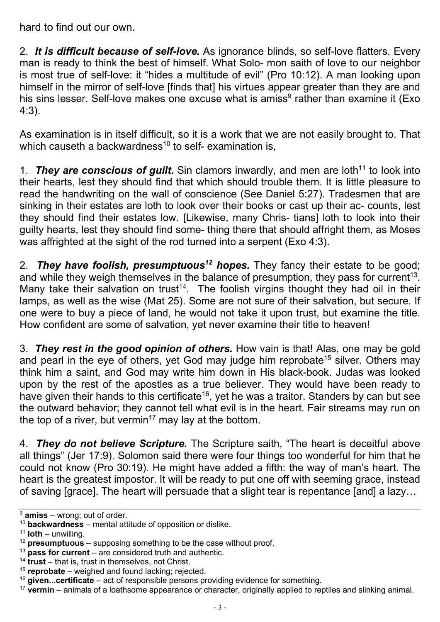hard to find out our own.

2. It is difficult because of self-love. As ignorance blinds, so self-love flatters. Every man is ready to think the best of himself. What Solo- mon saith of love to our neighbor is most true of self-love: it "hides a multitude of evil" (Pro 10:12). A man looking upon himself in the mirror of self-love [finds that] his virtues appear greater than they are and his sins lesser. Self-love makes one excuse what is amiss<sup>9</sup> rather than examine it (Exo 4:3).

As examination is in itself difficult, so it is a work that we are not easily brought to. That which causeth a backwardness<sup>10</sup> to self- examination is,

1. They are conscious of guilt. Sin clamors inwardly, and men are loth<sup>11</sup> to look into their hearts, lest they should find that which should trouble them. It is little pleasure to read the handwriting on the wall of conscience (See Daniel 5:27). Tradesmen that are sinking in their estates are loth to look over their books or cast up their ac- counts, lest they should find their estates low. [Likewise, many Chris- tians] loth to look into their guilty hearts, lest they should find some- thing there that should affright them, as Moses was affrighted at the sight of the rod turned into a serpent (Exo 4:3).

2. They have foolish, presumptuous<sup>12</sup> hopes. They fancy their estate to be good; and while they weigh themselves in the balance of presumption, they pass for current<sup>13</sup>. Many take their salvation on trust<sup>14</sup>. The foolish virgins thought they had oil in their lamps, as well as the wise (Mat 25). Some are not sure of their salvation, but secure. If one were to buy a piece of land, he would not take it upon trust, but examine the title. How confident are some of salvation, yet never examine their title to heaven!

3. They rest in the good opinion of others. How vain is that! Alas, one may be gold and pearl in the eye of others, yet God may judge him reprobate<sup>15</sup> silver. Others may think him a saint, and God may write him down in His black-book. Judas was looked upon by the rest of the apostles as a true believer. They would have been ready to have given their hands to this certificate<sup>16</sup>, yet he was a traitor. Standers by can but see the outward behavior; they cannot tell what evil is in the heart. Fair streams may run on the top of a river, but vermin<sup>17</sup> may lay at the bottom.

4. They do not believe Scripture. The Scripture saith, "The heart is deceitful above all things" (Jer 17:9). Solomon said there were four things too wonderful for him that he could not know (Pro 30:19). He might have added a fifth: the way of man's heart. The heart is the greatest impostor. It will be ready to put one off with seeming grace, instead of saving [grace]. The heart will persuade that a slight tear is repentance [and] a lazy…

 $\sqrt{9}$  amiss – wrong; out of order.

 $10$  backwardness – mental attitude of opposition or dislike.

 $11$  loth – unwilling.

 $12$  presumptuous – supposing something to be the case without proof.

 $13$  pass for current – are considered truth and authentic.

<sup>&</sup>lt;sup>14</sup> trust – that is, trust in themselves, not Christ.

<sup>&</sup>lt;sup>15</sup> reprobate – weighed and found lacking; rejected.

 $16$  given...certificate – act of responsible persons providing evidence for something.

 $17$  vermin – animals of a loathsome appearance or character, originally applied to reptiles and slinking animal.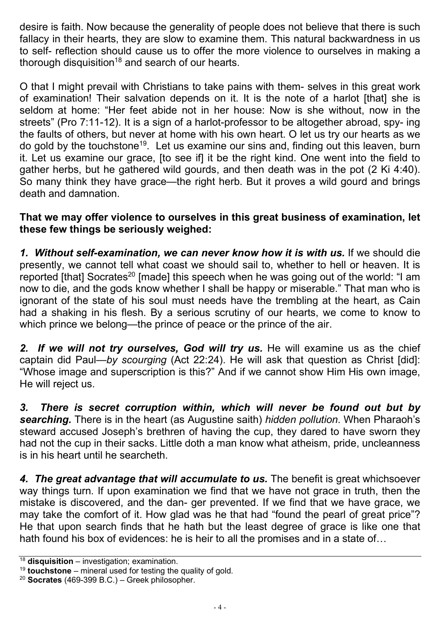desire is faith. Now because the generality of people does not believe that there is such fallacy in their hearts, they are slow to examine them. This natural backwardness in us to self- reflection should cause us to offer the more violence to ourselves in making a thorough disquisition<sup>18</sup> and search of our hearts.

O that I might prevail with Christians to take pains with them- selves in this great work of examination! Their salvation depends on it. It is the note of a harlot [that] she is seldom at home: "Her feet abide not in her house: Now is she without, now in the streets" (Pro 7:11-12). It is a sign of a harlot-professor to be altogether abroad, spy- ing the faults of others, but never at home with his own heart. O let us try our hearts as we do gold by the touchstone<sup>19</sup>. Let us examine our sins and, finding out this leaven, burn it. Let us examine our grace, [to see if] it be the right kind. One went into the field to gather herbs, but he gathered wild gourds, and then death was in the pot (2 Ki 4:40). So many think they have grace—the right herb. But it proves a wild gourd and brings death and damnation.

## That we may offer violence to ourselves in this great business of examination, let these few things be seriously weighed:

1. Without self-examination, we can never know how it is with us. If we should die presently, we cannot tell what coast we should sail to, whether to hell or heaven. It is reported [that] Socrates<sup>20</sup> [made] this speech when he was going out of the world: "I am now to die, and the gods know whether I shall be happy or miserable." That man who is ignorant of the state of his soul must needs have the trembling at the heart, as Cain had a shaking in his flesh. By a serious scrutiny of our hearts, we come to know to which prince we belong—the prince of peace or the prince of the air.

2. If we will not try ourselves, God will try us. He will examine us as the chief captain did Paul—by scourging (Act 22:24). He will ask that question as Christ [did]: "Whose image and superscription is this?" And if we cannot show Him His own image, He will reject us.

3. There is secret corruption within, which will never be found out but by searching. There is in the heart (as Augustine saith) hidden pollution. When Pharaoh's steward accused Joseph's brethren of having the cup, they dared to have sworn they had not the cup in their sacks. Little doth a man know what atheism, pride, uncleanness is in his heart until he searcheth.

4. The great advantage that will accumulate to us. The benefit is great whichsoever way things turn. If upon examination we find that we have not grace in truth, then the mistake is discovered, and the dan- ger prevented. If we find that we have grace, we may take the comfort of it. How glad was he that had "found the pearl of great price"? He that upon search finds that he hath but the least degree of grace is like one that hath found his box of evidences: he is heir to all the promises and in a state of…

 $18$  disquisition – investigation; examination.

<sup>&</sup>lt;sup>19</sup> **touchstone** – mineral used for testing the quality of gold.

 $20$  Socrates (469-399 B.C.) – Greek philosopher.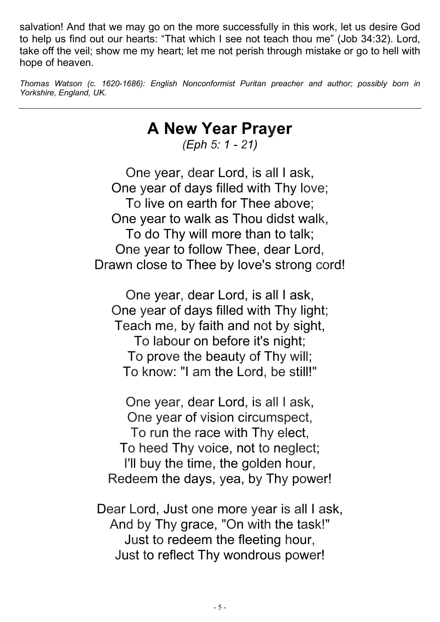salvation! And that we may go on the more successfully in this work, let us desire God to help us find out our hearts: "That which I see not teach thou me" (Job 34:32). Lord, take off the veil; show me my heart; let me not perish through mistake or go to hell with hope of heaven.

Thomas Watson (c. 1620-1686): English Nonconformist Puritan preacher and author; possibly born in Yorkshire, England, UK.

## A New Year Prayer

(Eph 5: 1 - 21)

One year, dear Lord, is all I ask, One year of days filled with Thy love; To live on earth for Thee above; One year to walk as Thou didst walk, To do Thy will more than to talk; One year to follow Thee, dear Lord, Drawn close to Thee by love's strong cord!

One year, dear Lord, is all I ask, One year of days filled with Thy light; Teach me, by faith and not by sight, To labour on before it's night; To prove the beauty of Thy will; To know: "I am the Lord, be still!"

One year, dear Lord, is all I ask, One year of vision circumspect, To run the race with Thy elect, To heed Thy voice, not to neglect; I'll buy the time, the golden hour, Redeem the days, yea, by Thy power!

Dear Lord, Just one more year is all I ask, And by Thy grace, "On with the task!" Just to redeem the fleeting hour, Just to reflect Thy wondrous power!